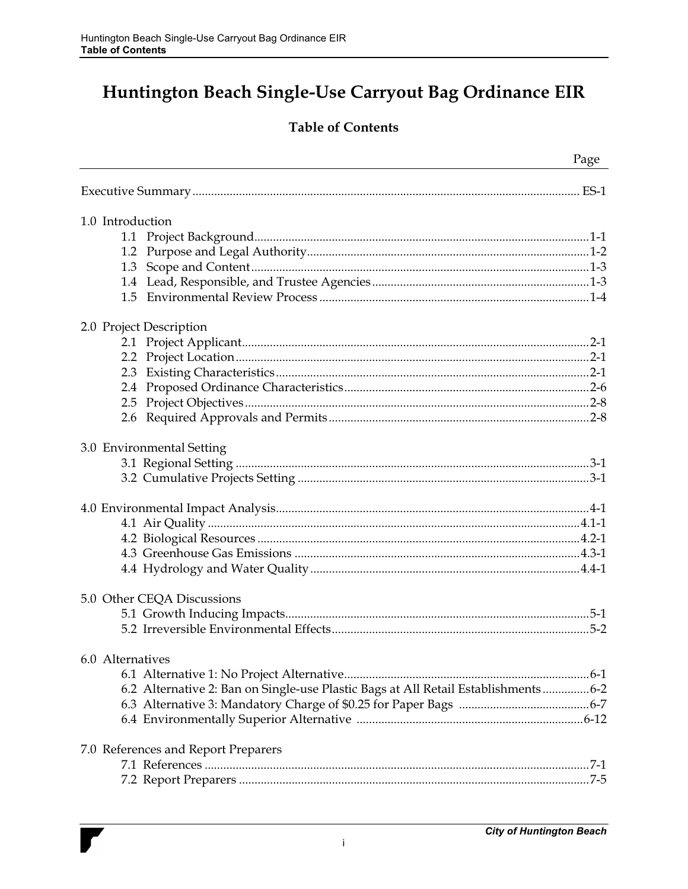# Huntington Beach Single-Use Carryout Bag Ordinance EIR

### **Table of Contents**

|                                     | Page                                                                              |
|-------------------------------------|-----------------------------------------------------------------------------------|
|                                     |                                                                                   |
| 1.0 Introduction                    |                                                                                   |
|                                     |                                                                                   |
|                                     |                                                                                   |
|                                     |                                                                                   |
|                                     |                                                                                   |
|                                     |                                                                                   |
|                                     |                                                                                   |
| 2.0 Project Description             |                                                                                   |
|                                     |                                                                                   |
|                                     |                                                                                   |
|                                     |                                                                                   |
|                                     |                                                                                   |
|                                     |                                                                                   |
|                                     |                                                                                   |
| 3.0 Environmental Setting           |                                                                                   |
|                                     |                                                                                   |
|                                     |                                                                                   |
|                                     |                                                                                   |
|                                     |                                                                                   |
|                                     |                                                                                   |
|                                     |                                                                                   |
|                                     |                                                                                   |
|                                     |                                                                                   |
| 5.0 Other CEQA Discussions          |                                                                                   |
|                                     |                                                                                   |
|                                     |                                                                                   |
| 6.0 Alternatives                    |                                                                                   |
|                                     |                                                                                   |
|                                     | 6.2 Alternative 2: Ban on Single-use Plastic Bags at All Retail Establishments6-2 |
|                                     |                                                                                   |
|                                     |                                                                                   |
|                                     |                                                                                   |
| 7.0 References and Report Preparers |                                                                                   |
|                                     |                                                                                   |
|                                     |                                                                                   |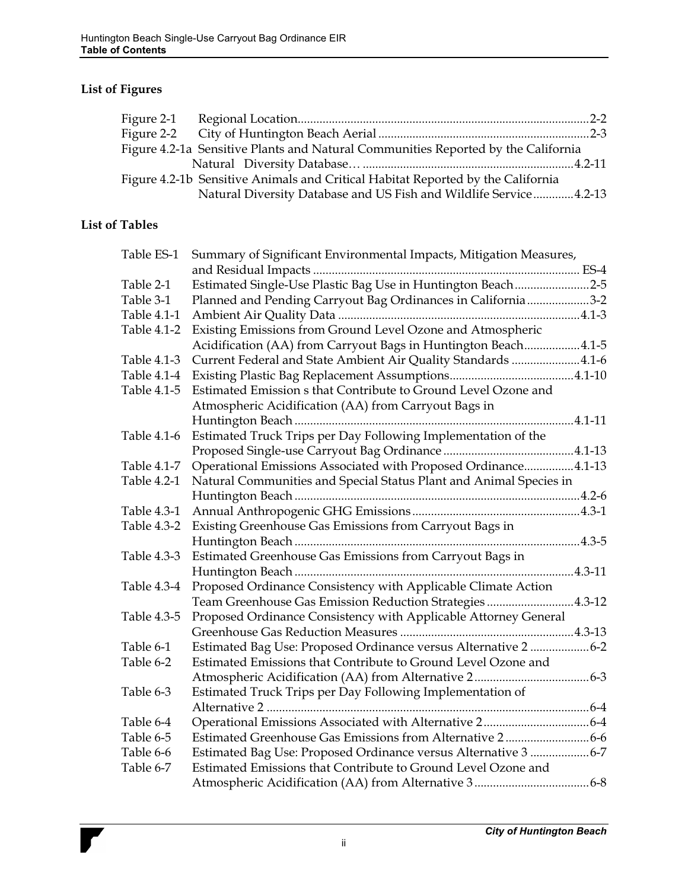### **List of Figures**

|  | Figure 4.2-1a Sensitive Plants and Natural Communities Reported by the California |  |
|--|-----------------------------------------------------------------------------------|--|
|  |                                                                                   |  |
|  | Figure 4.2-1b Sensitive Animals and Critical Habitat Reported by the California   |  |
|  | Natural Diversity Database and US Fish and Wildlife Service4.2-13                 |  |
|  |                                                                                   |  |

#### **List of Tables**

| Table ES-1  | Summary of Significant Environmental Impacts, Mitigation Measures, |
|-------------|--------------------------------------------------------------------|
|             |                                                                    |
| Table 2-1   | Estimated Single-Use Plastic Bag Use in Huntington Beach2-5        |
| Table 3-1   | Planned and Pending Carryout Bag Ordinances in California3-2       |
| Table 4.1-1 |                                                                    |
| Table 4.1-2 | Existing Emissions from Ground Level Ozone and Atmospheric         |
|             | Acidification (AA) from Carryout Bags in Huntington Beach4.1-5     |
| Table 4.1-3 | Current Federal and State Ambient Air Quality Standards 4.1-6      |
|             |                                                                    |
| Table 4.1-5 | Estimated Emission s that Contribute to Ground Level Ozone and     |
|             | Atmospheric Acidification (AA) from Carryout Bags in               |
|             |                                                                    |
| Table 4.1-6 | Estimated Truck Trips per Day Following Implementation of the      |
|             |                                                                    |
| Table 4.1-7 | Operational Emissions Associated with Proposed Ordinance4.1-13     |
| Table 4.2-1 | Natural Communities and Special Status Plant and Animal Species in |
|             |                                                                    |
| Table 4.3-1 |                                                                    |
| Table 4.3-2 | Existing Greenhouse Gas Emissions from Carryout Bags in            |
|             |                                                                    |
| Table 4.3-3 | Estimated Greenhouse Gas Emissions from Carryout Bags in           |
|             |                                                                    |
| Table 4.3-4 | Proposed Ordinance Consistency with Applicable Climate Action      |
|             | Team Greenhouse Gas Emission Reduction Strategies 4.3-12           |
| Table 4.3-5 | Proposed Ordinance Consistency with Applicable Attorney General    |
|             |                                                                    |
| Table 6-1   | Estimated Bag Use: Proposed Ordinance versus Alternative 2 6-2     |
| Table 6-2   | Estimated Emissions that Contribute to Ground Level Ozone and      |
|             |                                                                    |
| Table 6-3   | Estimated Truck Trips per Day Following Implementation of          |
|             |                                                                    |
| Table 6-4   |                                                                    |
| Table 6-5   |                                                                    |
| Table 6-6   | Estimated Bag Use: Proposed Ordinance versus Alternative 3 6-7     |
| Table 6-7   | Estimated Emissions that Contribute to Ground Level Ozone and      |
|             |                                                                    |